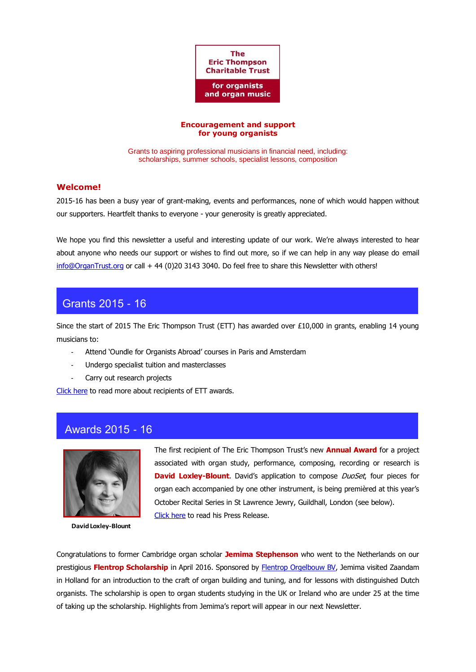

### **Encouragement and support for young organists**

Grants to aspiring professional musicians in financial need, including: scholarships, summer schools, specialist lessons, composition

## **Welcome!**

2015-16 has been a busy year of grant-making, events and performances, none of which would happen without our supporters. Heartfelt thanks to everyone - your generosity is greatly appreciated.

We hope you find this newsletter a useful and interesting update of our work. We're always interested to hear about anyone who needs our support or wishes to find out more, so if we can help in any way please do email [info@OrganTrust.org](mailto:info@OrganTrust.org) or call + 44 (0)20 3143 3040. Do feel free to share this Newsletter with others!

# Grants 2015 - 16

Since the start of 2015 The Eric Thompson Trust (ETT) has awarded over £10,000 in grants, enabling 14 young musicians to:

- Attend 'Oundle for Organists Abroad' courses in Paris and Amsterdam
- Undergo specialist tuition and masterclasses
- Carry out research projects

[Click here](http://royalphilharmonicsociety.org.uk/index.php/performers/instrumentalists/thompson/past_ett_1) to read more about recipients of ETT awards.

# Awards 2015 - 16



**David Loxley-Blount**

The first recipient of The Eric Thompson Trust's new **Annual Award** for a project associated with organ study, performance, composing, recording or research is **David Loxley-Blount.** David's application to compose *DuoSet*, four pieces for organ each accompanied by one other instrument, is being premièred at this year's October Recital Series in St Lawrence Jewry, Guildhall, London (see below). [Click here](https://royalphilharmonicsociety.org.uk/images/files/PressRelease_2016.02_ETT-Award.pdf) to read his Press Release.

Congratulations to former Cambridge organ scholar **Jemima Stephenson** who went to the Netherlands on our prestigious **Flentrop Scholarship** in April 2016. Sponsored by [Flentrop Orgelbouw BV,](http://www.flentrop.nl/indexuk.html) Jemima visited Zaandam in Holland for an introduction to the craft of organ building and tuning, and for lessons with distinguished Dutch organists. The scholarship is open to organ students studying in the UK or Ireland who are under 25 at the time of taking up the scholarship. Highlights from Jemima's report will appear in our next Newsletter.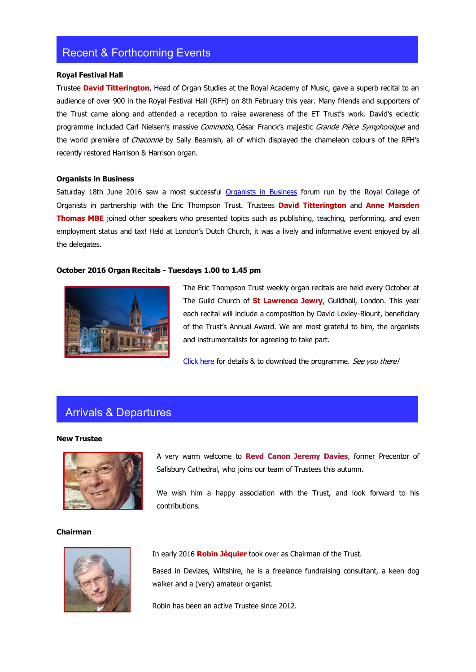# Recent & Forthcoming Events

### **Royal Festival Hall**

Trustee **David Titterington**, Head of Organ Studies at the Royal Academy of Music, gave a superb recital to an audience of over 900 in the Royal Festival Hall (RFH) on 8th February this year. Many friends and supporters of the Trust came along and attended a reception to raise awareness of the ET Trust's work. David's eclectic programme included Carl Nielsen's massive Commotio, César Franck's majestic Grande Pièce Symphonique and the world première of Chaconne by Sally Beamish, all of which displayed the chameleon colours of the RFH's recently restored Harrison & Harrison organ.

### **Organists in Business**

Saturday 18th June 2016 saw a most successful [Organists in Business](https://www.rco.org.uk/events.php?eventid=438) forum run by the Royal College of Organists in partnership with the Eric Thompson Trust. Trustees **David Titterington** and **Anne Marsden Thomas MBE** joined other speakers who presented topics such as publishing, teaching, performing, and even employment status and tax! Held at London's Dutch Church, it was a lively and informative event enjoyed by all the delegates.

## **October 2016 Organ Recitals - Tuesdays 1.00 to 1.45 pm**



The Eric Thompson Trust weekly organ recitals are held every October at The Guild Church of **St Lawrence Jewry**, Guildhall, London. This year each recital will include a composition by David Loxley-Blount, beneficiary of the Trust's Annual Award. We are most grateful to him, the organists and instrumentalists for agreeing to take part.

[Click here](http://royalphilharmonicsociety.org.uk/index.php/performers/instrumentalists/thompson/events/) for details & to download the programme. See you there!

# Arrivals & Departures

#### **New Trustee**



# A very warm welcome to **Revd Canon Jeremy Davies**, former Precentor of Salisbury Cathedral, who joins our team of Trustees this autumn.

We wish him a happy association with the Trust, and look forward to his contributions.

#### **Chairman**



In early 2016 **Robin Jéquier** took over as Chairman of the Trust.

Based in Devizes, Wiltshire, he is a freelance fundraising consultant, a keen dog walker and a (very) amateur organist.

Robin has been an active Trustee since 2012.